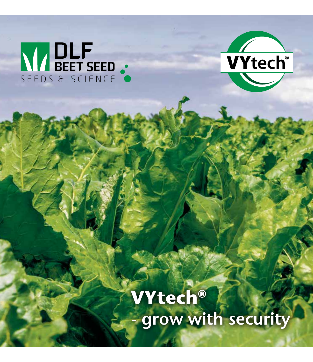# NIDLF



**VYtech®** grow with security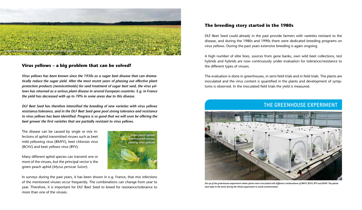

#### **Virus yellows – a big problem that can be solved!**

*Virus yellows has been known since the 1930s as a sugar beet disease that can dramatically reduce the sugar yield. After the most recent years of phasing out effective plant protection products (neonicotinoids) for seed treatment of sugar beet seed, the virus yellows has returned as a serious plant disease in several European countries. E.g. in France the yield has decreased with up to 70% in some areas due to this disease.*

*DLF Beet Seed has therefore intensified the breeding of new varieties with virus yellows resistance/tolerance, and in the DLF Beet Seed gene pool strong tolerance and resistance to virus yellows has been identified. Progress is so good that we will soon be offering the beet grower the first varieties that are partially resistant to virus yellows.*

The disease can be caused by single or mix infections of aphid transmitted viruses such as beet mild yellowing virus (BMYV), beet chlorosis virus (BChV) and beet yellows virus (BYV).

Many different aphid species can transmit one or more of the viruses, but the principal vector is the green peach aphid (*Myzus persicae Sulzer*).



In surveys during the past years, it has been shown in e.g. France, that mix infections of the mentioned viruses occur frequently. The combinations can change from year to year. Therefore, it is important for DLF Beet Seed to breed for resistance/tolerance to more than one of the viruses.

#### **The breeding story started in the 1980s**

DLF Beet Seed could already in the past provide farmers with varieties resistant to the disease, and during the 1980s and 1990s there were dedicated breeding programs on virus yellows. During the past years extensive breeding is again ongoing.

A high number of elite lines, sources from gene banks, own wild beet collections, test hybrids and hybrids are now continuously under evaluation for tolerance/resistance to the different types of viruses.

The evaluation is done in greenhouses, in semi field trials and in field trials. The plants are inoculated and the virus content is quantified in the plants and development of symptoms is observed. In the inoculated field trials the yield is measured.

## THE GREENHOUSE EXPERIMENT



*Set up of the greenhouse experiment where plants were inoculated with different combinations of BMYV, BChV, BYV and BtMV. The plants were kept in the tents during the whole experiment to avoid contamination.*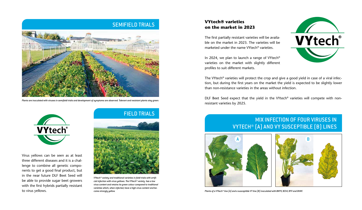## SEMIFIELD TRIALS



*Plants are inoculated with viruses in semifield trials and development of symptoms are observed. Tolerant and resistant plants stay green.*



Virus yellows can be seen as at least three different diseases and it is a challenge to combine all genetic components to get a good final product, but in the near future DLF Beet Seed will be able to provide sugar beet growers with the first hybrids partially resistant to virus yellows.

## FIELD TRIALS



*VYtech® variety and traditional varieties in field trials with artificial infection with virus yellows. The VYtech® variety has a low virus content and retains its green colour compared to traditional varieties which, when infected, have a high virus content and become strongly yellow.*

### **VYtech® varieties on the market in 2023**

The first partially resistant varieties will be available on the market in 2023. The varieties will be marketed under the name VYtech® varieties.

In 2024, we plan to launch a range of VYtech® varieties on the market with slightly different profiles to suit different markets.



The VYtech® varieties will protect the crop and give a good yield in case of a viral infection, but during the first years on the market the yield is expected to be slightly lower than non-resistance varieties in the areas without infection.

DLF Beet Seed expect that the yield in the VYtech® varieties will compete with nonresistant varieties by 2025.

# MIX INFECTION OF FOUR VIRUSES IN VYTECH® (A) AND VY SUSCEPTIBLE (B) LINES



*Plants of a VYtech® line (A) and a susceptible VY line (B) inoculated with BMYV, BChV, BYV and BtMV.*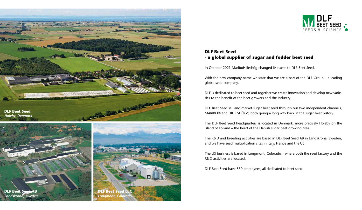

*Holeby, Denmark*







## **DLF Beet Seed - a global supplier of sugar and fodder beet seed**

In October 2021 MariboHilleshög changed its name to DLF Beet Seed.

With the new company name we state that we are a part of the DLF Group – a leading global seed company.

DLF is dedicated to beet seed and together we create innovation and develop new varieties to the benefit of the beet growers and the industry.

DLF Beet Seed sell and market sugar beet seed through our two independent channels, MARIBO® and HILLESHÖG®, both going a long way back in the sugar beet history.

The DLF Beet Seed headquarters is located in Denmark, more precisely Holeby on the island of Lolland – the heart of the Danish sugar beet growing area.

The R&D and breeding activities are based in DLF Beet Seed AB in Landskrona, Sweden, and we have seed multiplication sites in Italy, France and the US.

The US business is based in Longmont, Colorado – where both the seed factory and the R&D activities are located.

DLF Beet Seed have 350 employees, all dedicated to beet seed.